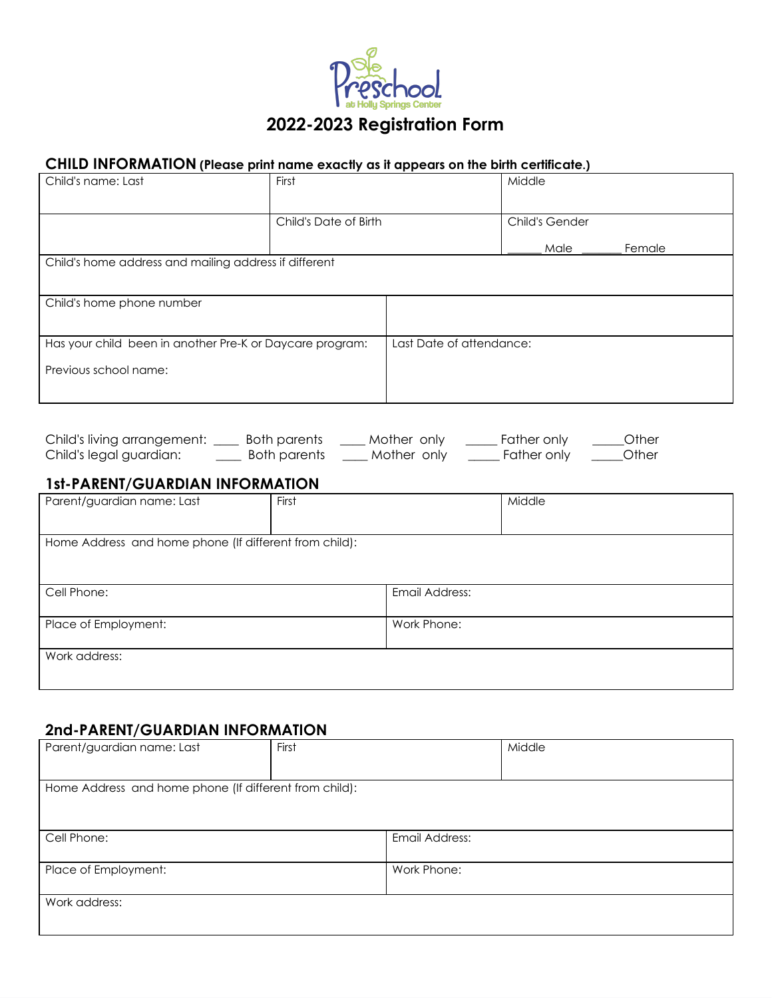

#### **CHILD INFORMATION (Please print name exactly as it appears on the birth certificate.)**

| Child's name: Last                                       | First                 |                          | Middle                |        |
|----------------------------------------------------------|-----------------------|--------------------------|-----------------------|--------|
|                                                          | Child's Date of Birth |                          | <b>Child's Gender</b> |        |
|                                                          |                       |                          | Male                  | Female |
| Child's home address and mailing address if different    |                       |                          |                       |        |
| Child's home phone number                                |                       |                          |                       |        |
| Has your child been in another Pre-K or Daycare program: |                       | Last Date of attendance: |                       |        |
| Previous school name:                                    |                       |                          |                       |        |

| Child's living arrangement: | Both parents | Mother only | Father only | Other |
|-----------------------------|--------------|-------------|-------------|-------|
| Child's legal guardian:     | Both parents | Mother only | Father only | Other |

### **1st-PARENT/GUARDIAN INFORMATION**

| Parent/guardian name: Last                             | First |                | Middle |
|--------------------------------------------------------|-------|----------------|--------|
|                                                        |       |                |        |
| Home Address and home phone (If different from child): |       |                |        |
|                                                        |       |                |        |
|                                                        |       |                |        |
| Cell Phone:                                            |       | Email Address: |        |
|                                                        |       |                |        |
| Place of Employment:                                   |       | Work Phone:    |        |
|                                                        |       |                |        |
| Work address:                                          |       |                |        |
|                                                        |       |                |        |
|                                                        |       |                |        |

# **2nd-PARENT/GUARDIAN INFORMATION**

| Parent/guardian name: Last                             | First |                | Middle |
|--------------------------------------------------------|-------|----------------|--------|
|                                                        |       |                |        |
| Home Address and home phone (If different from child): |       |                |        |
|                                                        |       |                |        |
|                                                        |       |                |        |
| Cell Phone:                                            |       | Email Address: |        |
|                                                        |       |                |        |
| Place of Employment:                                   |       | Work Phone:    |        |
|                                                        |       |                |        |
| Work address:                                          |       |                |        |
|                                                        |       |                |        |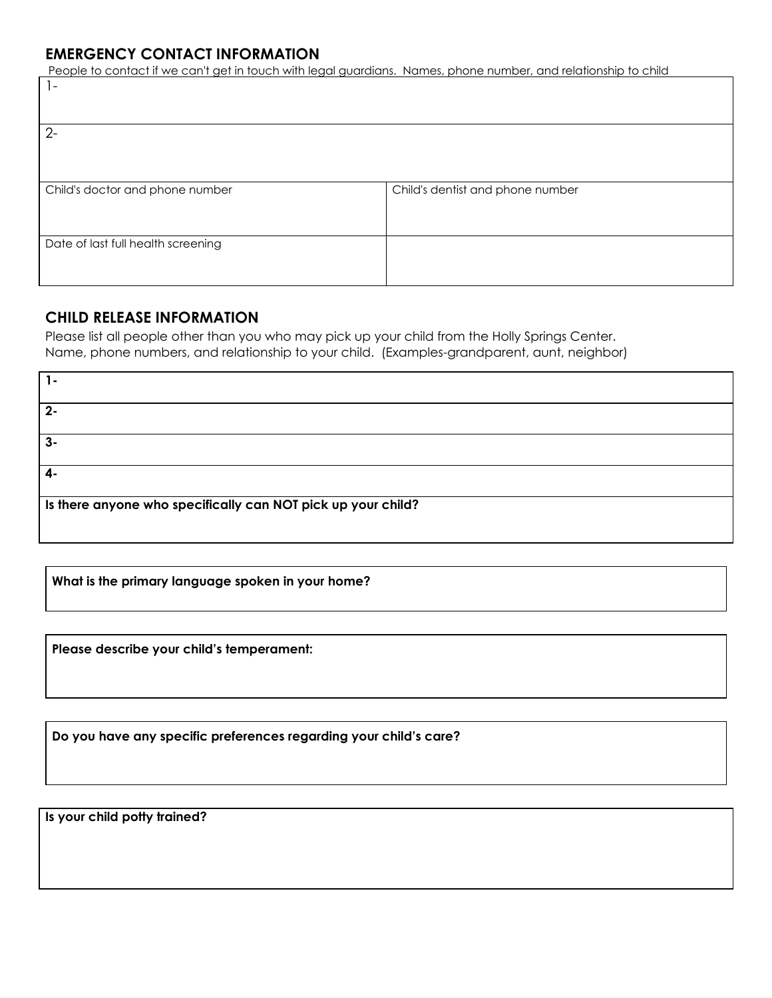### **EMERGENCY CONTACT INFORMATION**

People to contact if we can't get in touch with legal guardians. Names, phone number, and relationship to child

| $\overline{\phantom{0}}$           |                                  |
|------------------------------------|----------------------------------|
| $2 -$                              |                                  |
|                                    |                                  |
| Child's doctor and phone number    | Child's dentist and phone number |
| Date of last full health screening |                                  |

### **CHILD RELEASE INFORMATION**

Please list all people other than you who may pick up your child from the Holly Springs Center. Name, phone numbers, and relationship to your child. (Examples-grandparent, aunt, neighbor)

| 1-                                                           |  |  |
|--------------------------------------------------------------|--|--|
|                                                              |  |  |
|                                                              |  |  |
|                                                              |  |  |
|                                                              |  |  |
| $2 -$                                                        |  |  |
|                                                              |  |  |
|                                                              |  |  |
|                                                              |  |  |
|                                                              |  |  |
| $3-$                                                         |  |  |
|                                                              |  |  |
|                                                              |  |  |
|                                                              |  |  |
|                                                              |  |  |
| 4-                                                           |  |  |
|                                                              |  |  |
|                                                              |  |  |
|                                                              |  |  |
|                                                              |  |  |
| Is there anyone who specifically can NOT pick up your child? |  |  |
|                                                              |  |  |
|                                                              |  |  |
|                                                              |  |  |
|                                                              |  |  |

**What is the primary language spoken in your home?**

**Please describe your child's temperament:**

**Do you have any specific preferences regarding your child's care?**

**Is your child potty trained?**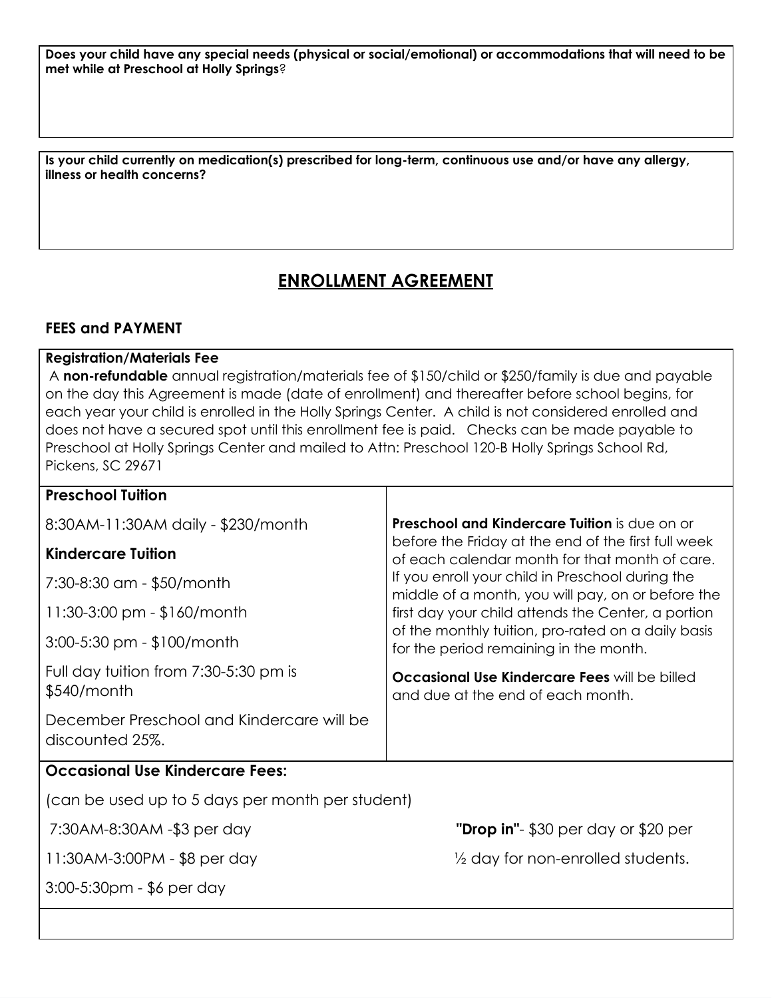Does your child have any special needs (physical or social/emotional) or accommodations that will need to be **met while at Preschool at Holly Springs**?

**Is your child currently on medication(s) prescribed for long-term, continuous use and/or have any allergy, illness or health concerns?**

# **ENROLLMENT AGREEMENT**

### **FEES and PAYMENT**

### **Registration/Materials Fee**

A **non-refundable** annual registration/materials fee of \$150/child or \$250/family is due and payable on the day this Agreement is made (date of enrollment) and thereafter before school begins, for each year your child is enrolled in the Holly Springs Center. A child is not considered enrolled and does not have a secured spot until this enrollment fee is paid. Checks can be made payable to Preschool at Holly Springs Center and mailed to Attn: Preschool 120-B Holly Springs School Rd, Pickens, SC 29671

| <b>Preschool Tuition</b>                                     |                                                                                                       |
|--------------------------------------------------------------|-------------------------------------------------------------------------------------------------------|
| 8:30AM-11:30AM daily - \$230/month                           | <b>Preschool and Kindercare Tuition</b> is due on or                                                  |
| <b>Kindercare Tuition</b>                                    | before the Friday at the end of the first full week<br>of each calendar month for that month of care. |
| 7:30-8:30 am - \$50/month                                    | If you enroll your child in Preschool during the<br>middle of a month, you will pay, on or before the |
| $11:30-3:00$ pm - \$160/month                                | first day your child attends the Center, a portion                                                    |
| $3:00-5:30$ pm - \$100/month                                 | of the monthly tuition, pro-rated on a daily basis<br>for the period remaining in the month.          |
| Full day tuition from 7:30-5:30 pm is<br>$$540/m$ onth       | <b>Occasional Use Kindercare Fees will be billed</b><br>and due at the end of each month.             |
| December Preschool and Kindercare will be<br>discounted 25%. |                                                                                                       |
| <b>Occasional Use Kindercare Fees:</b>                       |                                                                                                       |
| (can be used up to 5 days per month per student)             |                                                                                                       |
| 7:30AM-8:30AM - \$3 per day                                  | "Drop in"- \$30 per day or \$20 per                                                                   |
| 11:30AM-3:00PM - \$8 per day                                 | $\frac{1}{2}$ day for non-enrolled students.                                                          |
| 3:00-5:30pm - \$6 per day                                    |                                                                                                       |
|                                                              |                                                                                                       |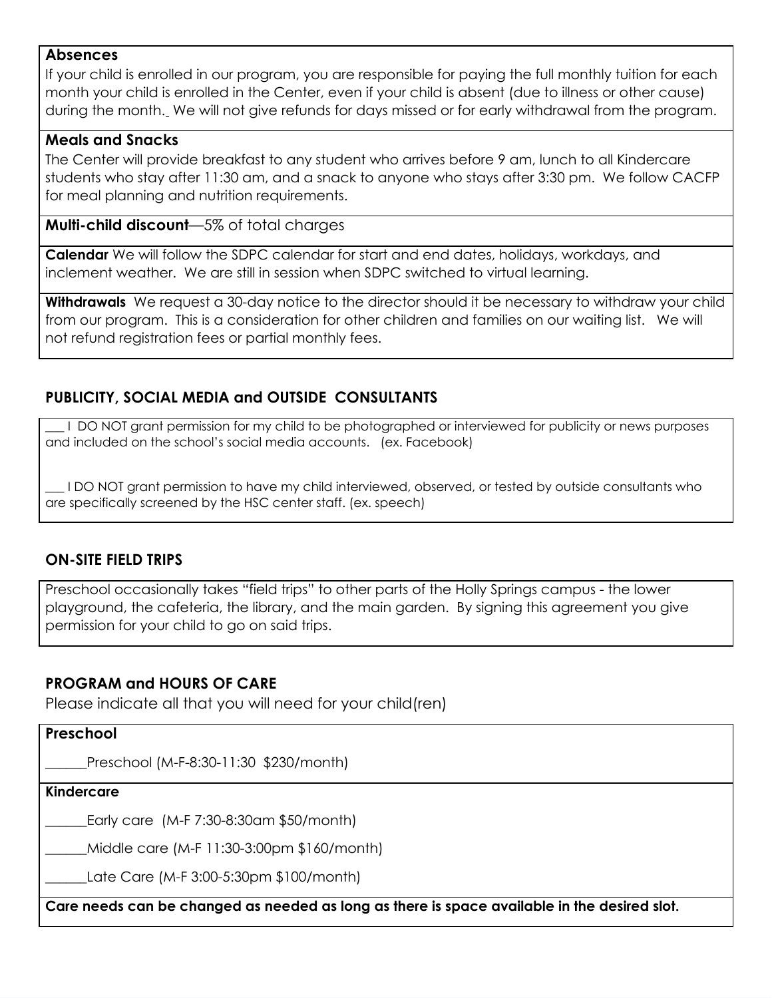### **Absences**

If your child is enrolled in our program, you are responsible for paying the full monthly tuition for each month your child is enrolled in the Center, even if your child is absent (due to illness or other cause) during the month. We will not give refunds for days missed or for early withdrawal from the program.

### **Meals and Snacks**

The Center will provide breakfast to any student who arrives before 9 am, lunch to all Kindercare students who stay after 11:30 am, and a snack to anyone who stays after 3:30 pm. We follow CACFP for meal planning and nutrition requirements.

### **Multi-child discount**—5% of total charges

**Calendar** We will follow the SDPC calendar for start and end dates, holidays, workdays, and inclement weather. We are still in session when SDPC switched to virtual learning.

**Withdrawals** We request a 30-day notice to the director should it be necessary to withdraw your child from our program. This is a consideration for other children and families on our waiting list. We will not refund registration fees or partial monthly fees.

# **PUBLICITY, SOCIAL MEDIA and OUTSIDE CONSULTANTS**

I DO NOT grant permission for my child to be photographed or interviewed for publicity or news purposes and included on the school's social media accounts. (ex. Facebook)

\_\_\_ I DO NOT grant permission to have my child interviewed, observed, or tested by outside consultants who are specifically screened by the HSC center staff. (ex. speech)

## **ON-SITE FIELD TRIPS**

Preschool occasionally takes "field trips" to other parts of the Holly Springs campus - the lower playground, the cafeteria, the library, and the main garden. By signing this agreement you give permission for your child to go on said trips.

## **PROGRAM and HOURS OF CARE**

Please indicate all that you will need for your child(ren)

### **Preschool**

\_\_\_\_\_\_Preschool (M-F-8:30-11:30 \$230/month)

#### **Kindercare**

Early care (M-F 7:30-8:30am \$50/month)

\_\_\_\_\_\_Middle care (M-F 11:30-3:00pm \$160/month)

\_\_\_\_\_\_Late Care (M-F 3:00-5:30pm \$100/month)

**Care needs can be changed as needed as long as there is space available in the desired slot.**